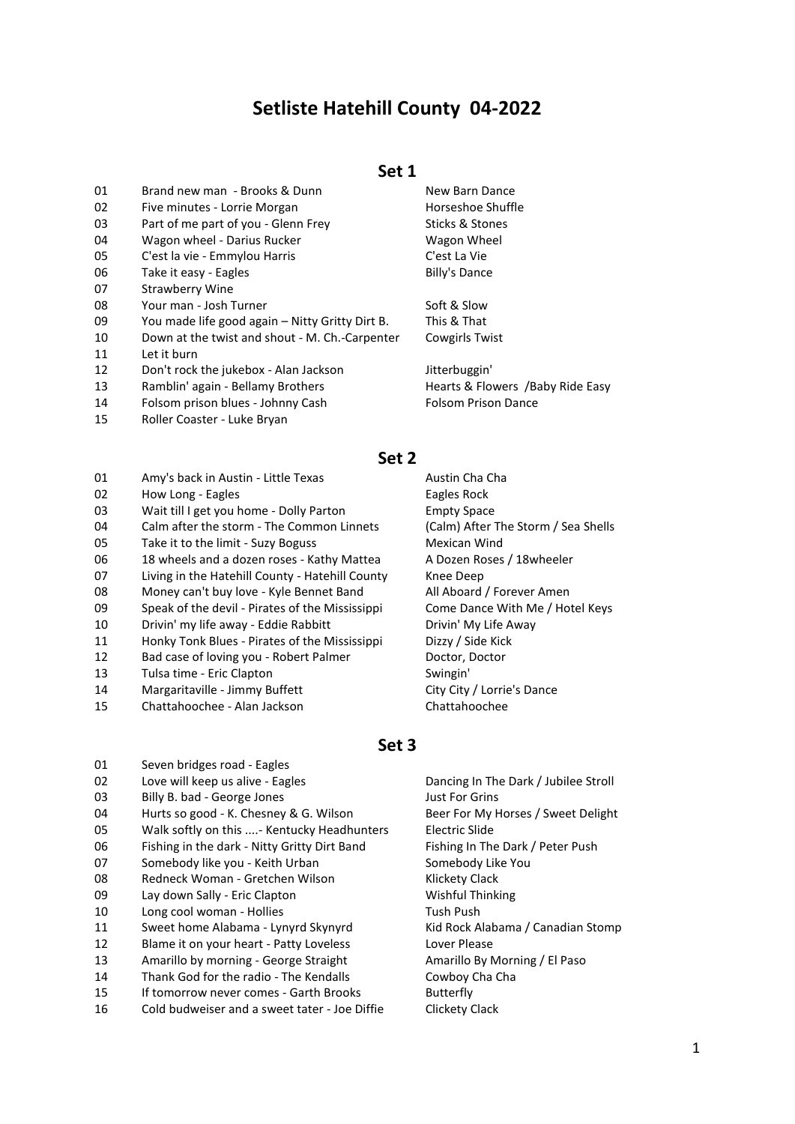# **Setliste Hatehill County 04-2022**

### **Set 1**

- 01 Brand new man Brooks & Dunn New Barn Dance
- 02 Five minutes Lorrie Morgan North Communist Horseshoe Shuffle
- 03 Part of me part of you Glenn Frey Sticks & Stones
- 04 Wagon wheel Darius Rucker New Your Magon Wheel
- 05 C'est la vie Emmylou Harris C'est La Vie 06 Take it easy - Eagles Billy's Dance
- 07 Strawberry Wine
- 
- 08 Your man Josh Turner Soft & Slow 09 You made life good again – Nitty Gritty Dirt B. This & That
- 10 Down at the twist and shout M. Ch.-Carpenter Cowgirls Twist
- 11 Let it burn
- 12 Don't rock the jukebox Alan Jackson Jitterbuggin'
- 13 Ramblin' again Bellamy Brothers Hearts & Flowers /Baby Ride Easy
- 14 Folsom prison blues Johnny Cash Folsom Prison Dance
- 15 Roller Coaster Luke Bryan

# **Set 2**

- 01 Amy's back in Austin Little Texas Austin Cha Cha
- 02 How Long Eagles Eagles Rock
- 03 Wait till I get you home Dolly Parton Empty Space
- 04 Calm after the storm The Common Linnets (Calm) After The Storm / Sea Shells
- 05 Take it to the limit Suzy Boguss Mexican Wind
- 06 18 wheels and a dozen roses Kathy Mattea A Dozen Roses / 18wheeler
- 07 Living in the Hatehill County Hatehill County Knee Deep
- 08 Money can't buy love Kyle Bennet Band All Aboard / Forever Amen
- 09 Speak of the devil Pirates of the Mississippi Come Dance With Me / Hotel Keys
- 10 Drivin' my life away Eddie Rabbitt Drivin' My Life Away
- 11 Honky Tonk Blues Pirates of the Mississippi Dizzy / Side Kick
- 12 Bad case of loving you Robert Palmer Doctor, Doctor
- 13 Tulsa time Eric Clapton **Swingin** Swingin'
- 14 Margaritaville Jimmy Buffett City City City / Lorrie's Dance
- 15 Chattahoochee Alan Jackson Chattahoochee

# **Set 3**

01 Seven bridges road - Eagles 02 Love will keep us alive - Eagles Dancing In The Dark / Jubilee Stroll 03 Billy B. bad - George Jones Changes and Sust For Grins 04 Hurts so good - K. Chesney & G. Wilson Beer For My Horses / Sweet Delight 05 Walk softly on this ....- Kentucky Headhunters Electric Slide 06 Fishing in the dark - Nitty Gritty Dirt Band Fishing In The Dark / Peter Push 07 Somebody like you - Keith Urban Somebody Like You 08 Redneck Woman - Gretchen Wilson Misson Klickety Clack 09 Lay down Sally - Eric Clapton Microsoft Controller Wishful Thinking 10 Long cool woman - Hollies Tush Push Push 11 Sweet home Alabama - Lynyrd Skynyrd Kid Rock Alabama / Canadian Stomp 12 Blame it on your heart - Patty Loveless Lover Please 13 Amarillo by morning - George Straight Amarillo By Morning / El Paso 14 Thank God for the radio - The Kendalls Cowboy Cha Cha 15 If tomorrow never comes - Garth Brooks Butterfly 16 Cold budweiser and a sweet tater - Joe Diffie Clickety Clack